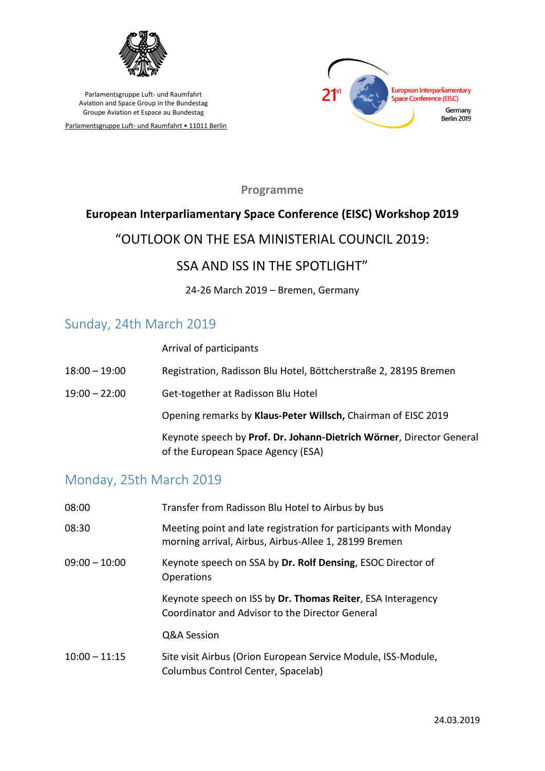

Parlamentsgruppe Luft- und Raumfahrt • 11011 Berlin



**Programme**

## **European Interparliamentary Space Conference (EISC) Workshop 2019**

## "OUTLOOK ON THE ESA MINISTERIAL COUNCIL 2019:

### SSA AND ISS IN THE SPOTLIGHT"

24-26 March 2019 – Bremen, Germany

## Sunday, 24th March 2019

Arrival of participants

| $18:00 - 19:00$ | Registration, Radisson Blu Hotel, Böttcherstraße 2, 28195 Bremen                                           |
|-----------------|------------------------------------------------------------------------------------------------------------|
| $19:00 - 22:00$ | Get-together at Radisson Blu Hotel                                                                         |
|                 | Opening remarks by Klaus-Peter Willsch, Chairman of EISC 2019                                              |
|                 | Keynote speech by Prof. Dr. Johann-Dietrich Wörner, Director General<br>of the European Space Agency (ESA) |

## Monday, 25th March 2019

| 08:00           | Transfer from Radisson Blu Hotel to Airbus by bus                                                                         |
|-----------------|---------------------------------------------------------------------------------------------------------------------------|
| 08:30           | Meeting point and late registration for participants with Monday<br>morning arrival, Airbus, Airbus-Allee 1, 28199 Bremen |
| $09:00 - 10:00$ | Keynote speech on SSA by Dr. Rolf Densing, ESOC Director of<br><b>Operations</b>                                          |
|                 | Keynote speech on ISS by Dr. Thomas Reiter, ESA Interagency<br>Coordinator and Advisor to the Director General            |
|                 | Q&A Session                                                                                                               |
| $10:00 - 11:15$ | Site visit Airbus (Orion European Service Module, ISS-Module,<br>Columbus Control Center, Spacelab)                       |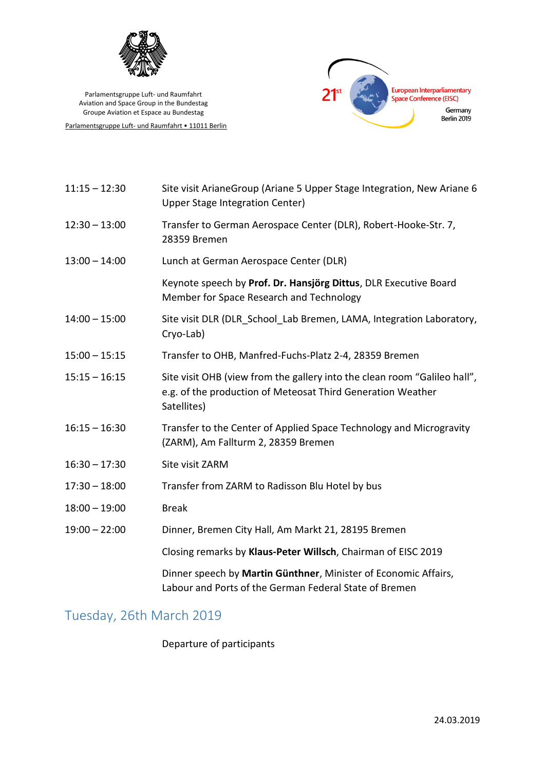

Parlamentsgruppe Luft- und Raumfahrt • 11011 Berlin



| $11:15 - 12:30$ | Site visit ArianeGroup (Ariane 5 Upper Stage Integration, New Ariane 6<br>Upper Stage Integration Center)                                               |
|-----------------|---------------------------------------------------------------------------------------------------------------------------------------------------------|
| $12:30 - 13:00$ | Transfer to German Aerospace Center (DLR), Robert-Hooke-Str. 7,<br>28359 Bremen                                                                         |
| $13:00 - 14:00$ | Lunch at German Aerospace Center (DLR)                                                                                                                  |
|                 | Keynote speech by Prof. Dr. Hansjörg Dittus, DLR Executive Board<br>Member for Space Research and Technology                                            |
| $14:00 - 15:00$ | Site visit DLR (DLR School Lab Bremen, LAMA, Integration Laboratory,<br>Cryo-Lab)                                                                       |
| $15:00 - 15:15$ | Transfer to OHB, Manfred-Fuchs-Platz 2-4, 28359 Bremen                                                                                                  |
| $15:15 - 16:15$ | Site visit OHB (view from the gallery into the clean room "Galileo hall",<br>e.g. of the production of Meteosat Third Generation Weather<br>Satellites) |
| $16:15 - 16:30$ | Transfer to the Center of Applied Space Technology and Microgravity<br>(ZARM), Am Fallturm 2, 28359 Bremen                                              |
| $16:30 - 17:30$ | Site visit ZARM                                                                                                                                         |
| $17:30 - 18:00$ | Transfer from ZARM to Radisson Blu Hotel by bus                                                                                                         |
| $18:00 - 19:00$ | <b>Break</b>                                                                                                                                            |
| $19:00 - 22:00$ | Dinner, Bremen City Hall, Am Markt 21, 28195 Bremen                                                                                                     |
|                 | Closing remarks by Klaus-Peter Willsch, Chairman of EISC 2019                                                                                           |
|                 | Dinner speech by Martin Günthner, Minister of Economic Affairs,<br>Labour and Ports of the German Federal State of Bremen                               |

# Tuesday, 26th March 2019

### Departure of participants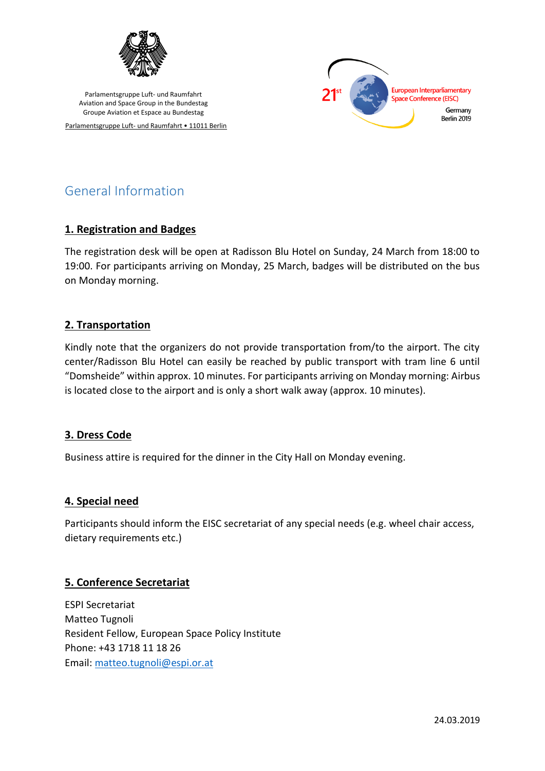

Parlamentsgruppe Luft- und Raumfahrt • 11011 Berlin



# General Information

#### **1. Registration and Badges**

The registration desk will be open at Radisson Blu Hotel on Sunday, 24 March from 18:00 to 19:00. For participants arriving on Monday, 25 March, badges will be distributed on the bus on Monday morning.

### **2. Transportation**

Kindly note that the organizers do not provide transportation from/to the airport. The city center/Radisson Blu Hotel can easily be reached by public transport with tram line 6 until "Domsheide" within approx. 10 minutes. For participants arriving on Monday morning: Airbus is located close to the airport and is only a short walk away (approx. 10 minutes).

#### **3. Dress Code**

Business attire is required for the dinner in the City Hall on Monday evening.

#### **4. Special need**

Participants should inform the EISC secretariat of any special needs (e.g. wheel chair access, dietary requirements etc.)

#### **5. Conference Secretariat**

ESPI Secretariat Matteo Tugnoli Resident Fellow, European Space Policy Institute Phone: +43 1718 11 18 26 Email: [matteo.tugnoli@espi.or.at](mailto:matteo.tugnoli@espi.or.at)